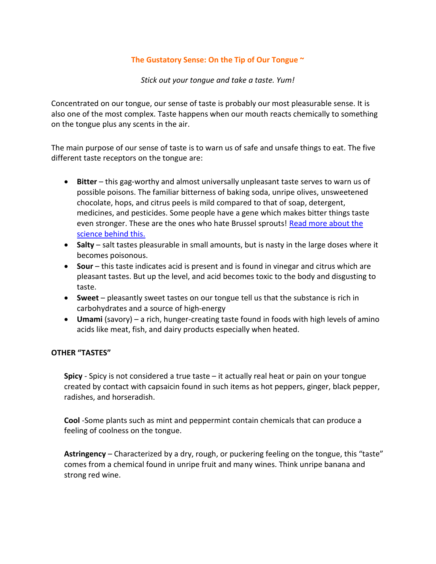## **The Gustatory Sense: On the Tip of Our Tongue ~**

*Stick out your tongue and take a taste. Yum!*

Concentrated on our tongue, our sense of taste is probably our most pleasurable sense. It is also one of the most complex. Taste happens when our mouth reacts chemically to something on the tongue plus any scents in the air.

The main purpose of our sense of taste is to warn us of safe and unsafe things to eat. The five different taste receptors on the tongue are:

- **Bitter** this gag-worthy and almost universally unpleasant taste serves to warn us of possible poisons. The familiar bitterness of baking soda, unripe olives, unsweetened chocolate, hops, and citrus peels is mild compared to that of soap, detergent, medicines, and pesticides. Some people have a gene which makes bitter things taste even stronger. These are the ones who hate Brussel sprouts! [Read more about the](https://www.centreofthecell.org/learn-play/blog/science-questions/why-do-some-people-hate-brussels-sprouts/)  [science behind this.](https://www.centreofthecell.org/learn-play/blog/science-questions/why-do-some-people-hate-brussels-sprouts/)
- **Salty** salt tastes pleasurable in small amounts, but is nasty in the large doses where it becomes poisonous.
- **Sour** this taste indicates acid is present and is found in vinegar and citrus which are pleasant tastes. But up the level, and acid becomes toxic to the body and disgusting to taste.
- **Sweet**  pleasantly sweet tastes on our tongue tell us that the substance is rich in carbohydrates and a source of high-energy
- **Umami** (savory) a rich, hunger-creating taste found in foods with high levels of amino acids like meat, fish, and dairy products especially when heated.

# **OTHER "TASTES"**

**Spicy** - Spicy is not considered a true taste – it actually real heat or pain on your tongue created by contact with capsaicin found in such items as hot peppers, ginger, black pepper, radishes, and horseradish.

**Cool** -Some plants such as mint and peppermint contain chemicals that can produce a feeling of coolness on the tongue.

**Astringency** – Characterized by a dry, rough, or puckering feeling on the tongue, this "taste" comes from a chemical found in unripe fruit and many wines. Think unripe banana and strong red wine.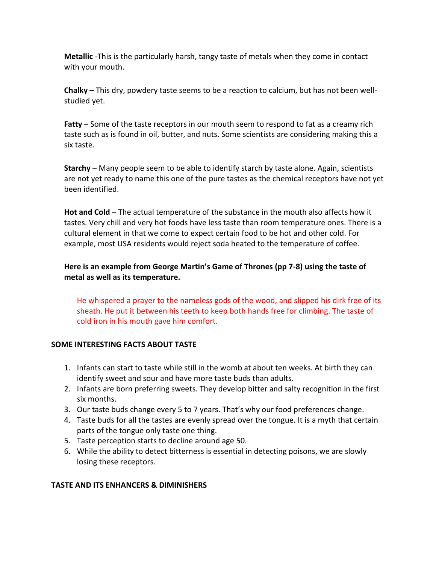**Metallic** -This is the particularly harsh, tangy taste of metals when they come in contact with your mouth.

**Chalky** – This dry, powdery taste seems to be a reaction to calcium, but has not been wellstudied yet.

**Fatty** – Some of the taste receptors in our mouth seem to respond to fat as a creamy rich taste such as is found in oil, butter, and nuts. Some scientists are considering making this a six taste.

**Starchy** – Many people seem to be able to identify starch by taste alone. Again, scientists are not yet ready to name this one of the pure tastes as the chemical receptors have not yet been identified.

**Hot and Cold** – The actual temperature of the substance in the mouth also affects how it tastes. Very chill and very hot foods have less taste than room temperature ones. There is a cultural element in that we come to expect certain food to be hot and other cold. For example, most USA residents would reject soda heated to the temperature of coffee.

**Here is an example from George Martin's Game of Thrones (pp 7-8) using the taste of metal as well as its temperature.**

He whispered a prayer to the nameless gods of the wood, and slipped his dirk free of its sheath. He put it between his teeth to keep both hands free for climbing. The taste of cold iron in his mouth gave him comfort.

# **SOME INTERESTING FACTS ABOUT TASTE**

- 1. Infants can start to taste while still in the womb at about ten weeks. At birth they can identify sweet and sour and have more taste buds than adults.
- 2. Infants are born preferring sweets. They develop bitter and salty recognition in the first six months.
- 3. Our taste buds change every 5 to 7 years. That's why our food preferences change.
- 4. Taste buds for all the tastes are evenly spread over the tongue. It is a myth that certain parts of the tongue only taste one thing.
- 5. Taste perception starts to decline around age 50.
- 6. While the ability to detect bitterness is essential in detecting poisons, we are slowly losing these receptors.

# **TASTE AND ITS ENHANCERS & DIMINISHERS**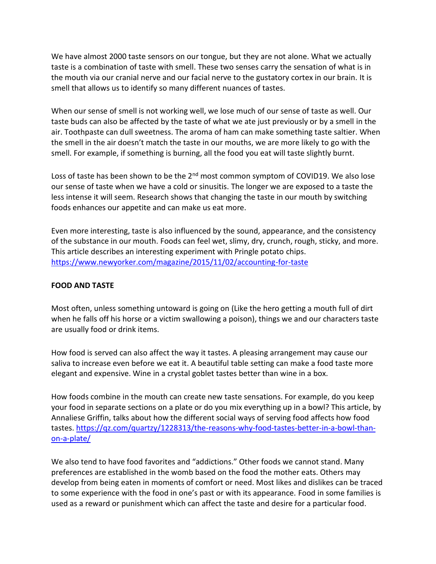We have almost 2000 taste sensors on our tongue, but they are not alone. What we actually taste is a combination of taste with smell. These two senses carry the sensation of what is in the mouth via our cranial nerve and our facial nerve to the gustatory cortex in our brain. It is smell that allows us to identify so many different nuances of tastes.

When our sense of smell is not working well, we lose much of our sense of taste as well. Our taste buds can also be affected by the taste of what we ate just previously or by a smell in the air. Toothpaste can dull sweetness. The aroma of ham can make something taste saltier. When the smell in the air doesn't match the taste in our mouths, we are more likely to go with the smell. For example, if something is burning, all the food you eat will taste slightly burnt.

Loss of taste has been shown to be the 2<sup>nd</sup> most common symptom of COVID19. We also lose our sense of taste when we have a cold or sinusitis. The longer we are exposed to a taste the less intense it will seem. Research shows that changing the taste in our mouth by switching foods enhances our appetite and can make us eat more.

Even more interesting, taste is also influenced by the sound, appearance, and the consistency of the substance in our mouth. Foods can feel wet, slimy, dry, crunch, rough, sticky, and more. This article describes an interesting experiment with Pringle potato chips. <https://www.newyorker.com/magazine/2015/11/02/accounting-for-taste>

## **FOOD AND TASTE**

Most often, unless something untoward is going on (Like the hero getting a mouth full of dirt when he falls off his horse or a victim swallowing a poison), things we and our characters taste are usually food or drink items.

How food is served can also affect the way it tastes. A pleasing arrangement may cause our saliva to increase even before we eat it. A beautiful table setting can make a food taste more elegant and expensive. Wine in a crystal goblet tastes better than wine in a box.

How foods combine in the mouth can create new taste sensations. For example, do you keep your food in separate sections on a plate or do you mix everything up in a bowl? This article, by Annaliese Griffin, talks about how the different social ways of serving food affects how food tastes. [https://qz.com/quartzy/1228313/the-reasons-why-food-tastes-better-in-a-bowl-than](https://qz.com/quartzy/1228313/the-reasons-why-food-tastes-better-in-a-bowl-than-on-a-plate/)[on-a-plate/](https://qz.com/quartzy/1228313/the-reasons-why-food-tastes-better-in-a-bowl-than-on-a-plate/)

We also tend to have food favorites and "addictions." Other foods we cannot stand. Many preferences are established in the womb based on the food the mother eats. Others may develop from being eaten in moments of comfort or need. Most likes and dislikes can be traced to some experience with the food in one's past or with its appearance. Food in some families is used as a reward or punishment which can affect the taste and desire for a particular food.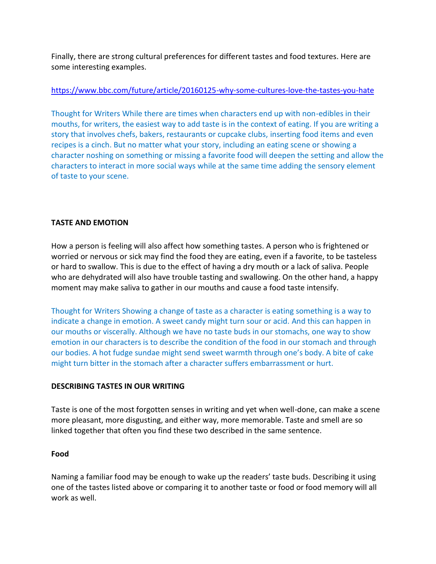Finally, there are strong cultural preferences for different tastes and food textures. Here are some interesting examples.

# <https://www.bbc.com/future/article/20160125-why-some-cultures-love-the-tastes-you-hate>

Thought for Writers While there are times when characters end up with non-edibles in their mouths, for writers, the easiest way to add taste is in the context of eating. If you are writing a story that involves chefs, bakers, restaurants or cupcake clubs, inserting food items and even recipes is a cinch. But no matter what your story, including an eating scene or showing a character noshing on something or missing a favorite food will deepen the setting and allow the characters to interact in more social ways while at the same time adding the sensory element of taste to your scene.

# **TASTE AND EMOTION**

How a person is feeling will also affect how something tastes. A person who is frightened or worried or nervous or sick may find the food they are eating, even if a favorite, to be tasteless or hard to swallow. This is due to the effect of having a dry mouth or a lack of saliva. People who are dehydrated will also have trouble tasting and swallowing. On the other hand, a happy moment may make saliva to gather in our mouths and cause a food taste intensify.

Thought for Writers Showing a change of taste as a character is eating something is a way to indicate a change in emotion. A sweet candy might turn sour or acid. And this can happen in our mouths or viscerally. Although we have no taste buds in our stomachs, one way to show emotion in our characters is to describe the condition of the food in our stomach and through our bodies. A hot fudge sundae might send sweet warmth through one's body. A bite of cake might turn bitter in the stomach after a character suffers embarrassment or hurt.

# **DESCRIBING TASTES IN OUR WRITING**

Taste is one of the most forgotten senses in writing and yet when well-done, can make a scene more pleasant, more disgusting, and either way, more memorable. Taste and smell are so linked together that often you find these two described in the same sentence.

## **Food**

Naming a familiar food may be enough to wake up the readers' taste buds. Describing it using one of the tastes listed above or comparing it to another taste or food or food memory will all work as well.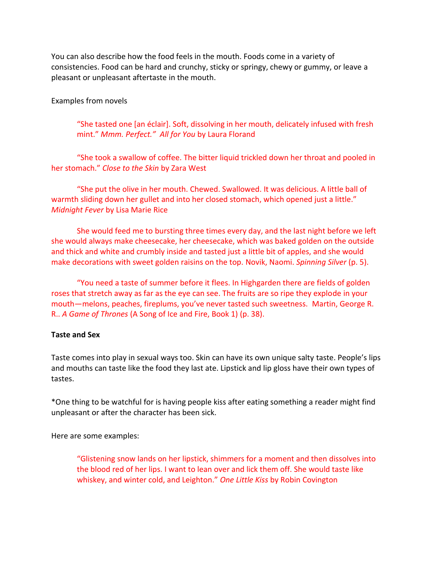You can also describe how the food feels in the mouth. Foods come in a variety of consistencies. Food can be hard and crunchy, sticky or springy, chewy or gummy, or leave a pleasant or unpleasant aftertaste in the mouth.

### Examples from novels

"She tasted one [an éclair]. Soft, dissolving in her mouth, delicately infused with fresh mint." *Mmm. Perfect." All for You* by Laura Florand

"She took a swallow of coffee. The bitter liquid trickled down her throat and pooled in her stomach." *Close to the Skin* by Zara West

"She put the olive in her mouth. Chewed. Swallowed. It was delicious. A little ball of warmth sliding down her gullet and into her closed stomach, which opened just a little." *Midnight Fever* by Lisa Marie Rice

She would feed me to bursting three times every day, and the last night before we left she would always make cheesecake, her cheesecake, which was baked golden on the outside and thick and white and crumbly inside and tasted just a little bit of apples, and she would make decorations with sweet golden raisins on the top. Novik, Naomi. *Spinning Silver* (p. 5).

"You need a taste of summer before it flees. In Highgarden there are fields of golden roses that stretch away as far as the eye can see. The fruits are so ripe they explode in your mouth—melons, peaches, fireplums, you've never tasted such sweetness. Martin, George R. R.. *A Game of Thrones* (A Song of Ice and Fire, Book 1) (p. 38).

#### **Taste and Sex**

Taste comes into play in sexual ways too. Skin can have its own unique salty taste. People's lips and mouths can taste like the food they last ate. Lipstick and lip gloss have their own types of tastes.

\*One thing to be watchful for is having people kiss after eating something a reader might find unpleasant or after the character has been sick.

Here are some examples:

"Glistening snow lands on her lipstick, shimmers for a moment and then dissolves into the blood red of her lips. I want to lean over and lick them off. She would taste like whiskey, and winter cold, and Leighton." *One Little Kiss* by Robin Covington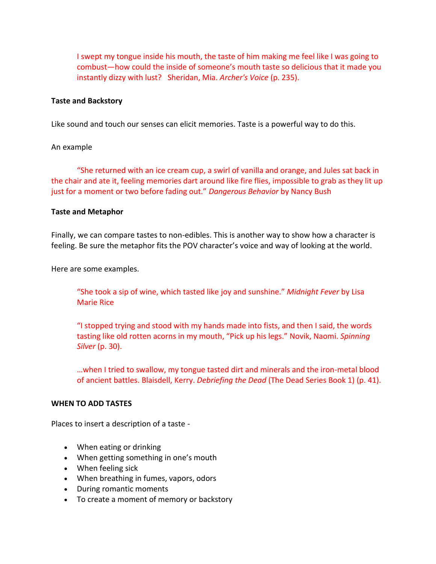I swept my tongue inside his mouth, the taste of him making me feel like I was going to combust—how could the inside of someone's mouth taste so delicious that it made you instantly dizzy with lust? Sheridan, Mia. *Archer's Voice* (p. 235).

#### **Taste and Backstory**

Like sound and touch our senses can elicit memories. Taste is a powerful way to do this.

### An example

"She returned with an ice cream cup, a swirl of vanilla and orange, and Jules sat back in the chair and ate it, feeling memories dart around like fire flies, impossible to grab as they lit up just for a moment or two before fading out." *Dangerous Behavior* by Nancy Bush

### **Taste and Metaphor**

Finally, we can compare tastes to non-edibles. This is another way to show how a character is feeling. Be sure the metaphor fits the POV character's voice and way of looking at the world.

Here are some examples.

"She took a sip of wine, which tasted like joy and sunshine." *Midnight Fever* by Lisa Marie Rice

"I stopped trying and stood with my hands made into fists, and then I said, the words tasting like old rotten acorns in my mouth, "Pick up his legs." Novik, Naomi. *Spinning Silver* (p. 30).

…when I tried to swallow, my tongue tasted dirt and minerals and the iron-metal blood of ancient battles. Blaisdell, Kerry. *Debriefing the Dead* (The Dead Series Book 1) (p. 41).

## **WHEN TO ADD TASTES**

Places to insert a description of a taste -

- When eating or drinking
- When getting something in one's mouth
- When feeling sick
- When breathing in fumes, vapors, odors
- During romantic moments
- To create a moment of memory or backstory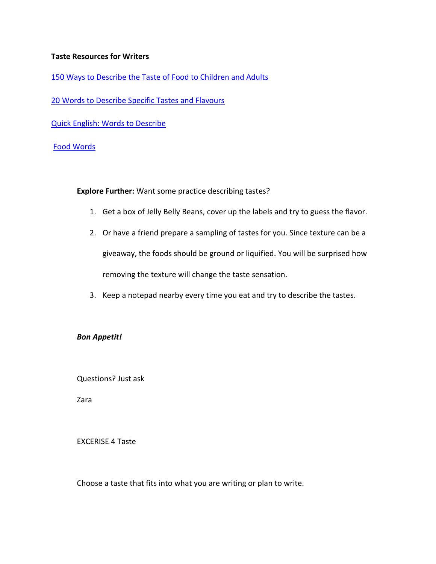### **Taste Resources for Writers**

[150 Ways to Describe the Taste of Food to Children and Adults](https://hybridrastamama.com/150-words-to-describe-the-taste-of-food-to-children-and-adults-alike/)

[20 Words to Describe Specific Tastes and Flavours](https://writerswrite.co.za/20-words-used-to-describe-specific-tastes-and-flavours/)

[Quick English: Words to Describe](Quick%20English:%20Words%20to%20Describe%20FoodAn%20don’t%20miss%20a%20visit%20to%20the%20Disgusting%20Food%20Museum%20https:/www.thedrinksbusiness.com/2018/10/10-of-the-worlds-most-disgusting-foods/) 

## [Food Words](https://www.kyrene.org/cms/lib2/AZ01001083/Centricity/Domain/1671/Food%20words.pdf)

**Explore Further:** Want some practice describing tastes?

- 1. Get a box of Jelly Belly Beans, cover up the labels and try to guess the flavor.
- 2. Or have a friend prepare a sampling of tastes for you. Since texture can be a giveaway, the foods should be ground or liquified. You will be surprised how removing the texture will change the taste sensation.
- 3. Keep a notepad nearby every time you eat and try to describe the tastes.

## *Bon Appetit!*

Questions? Just ask

Zara

#### EXCERISE 4 Taste

Choose a taste that fits into what you are writing or plan to write.